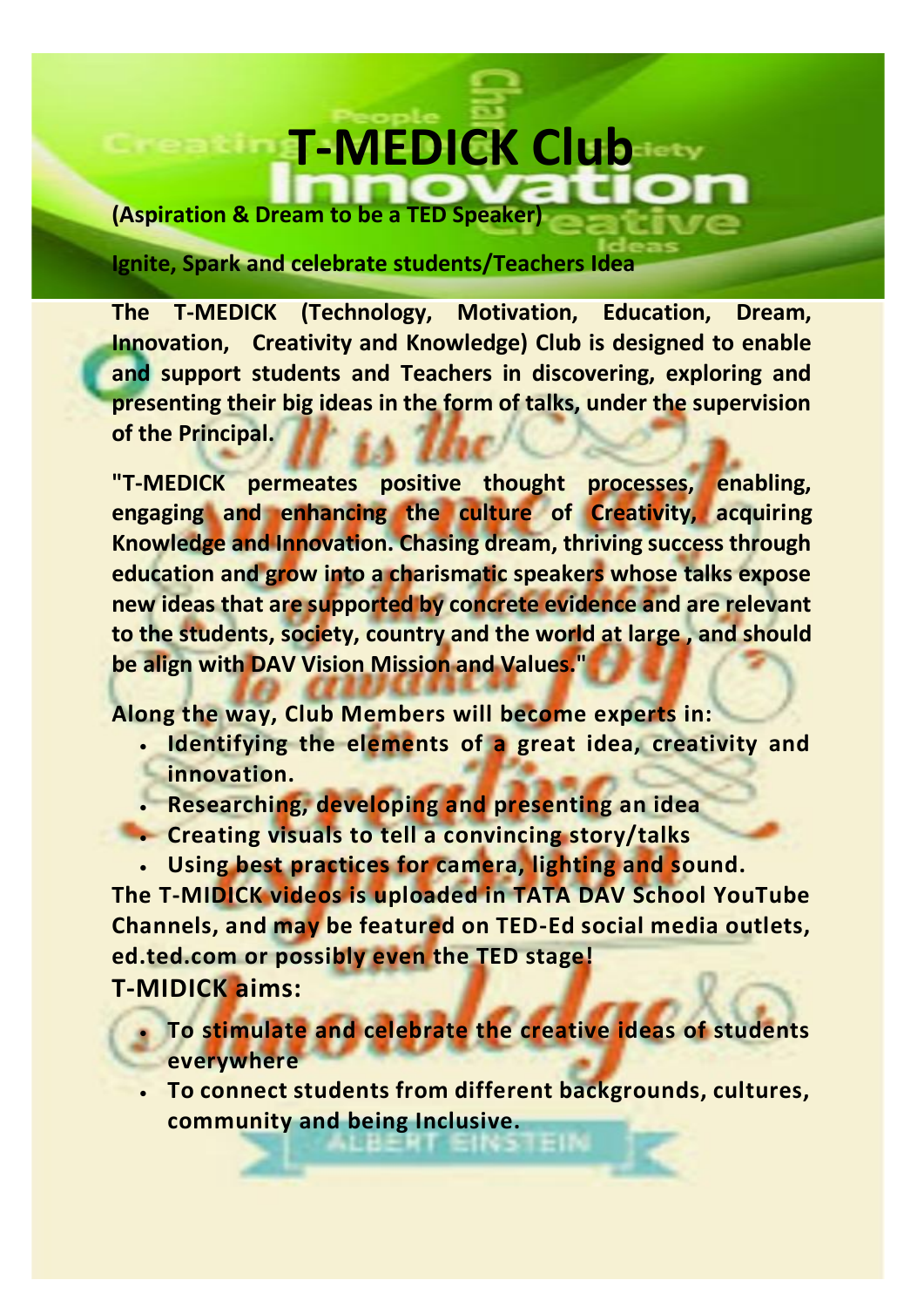## **T-MEDICK Club**

**(Aspiration & Dream to be a TED Speaker)** 

**Ignite, Spark and celebrate students/Teachers Idea** 

**The T-MEDICK (Technology, Motivation, Education, Dream, Innovation, Creativity and Knowledge) Club is designed to enable and support students and Teachers in discovering, exploring and presenting their big ideas in the form of talks, under the supervision of the Principal.**

**"T-MEDICK permeates positive thought processes, enabling, engaging and enhancing the culture of Creativity, acquiring Knowledge and Innovation. Chasing dream, thriving success through education and grow into a charismatic speakers whose talks expose new ideas that are supported by concrete evidence and are relevant to the students, society, country and the world at large , and should be align with DAV Vision Mission and Values."** 

**Along the way, Club Members will become experts in:**

- **Identifying the elements of a great idea, creativity and innovation.**
- **Researching, developing and presenting an idea**
- **Creating visuals to tell a convincing story/talks**
- **Using best practices for camera, lighting and sound.**

**The T-MIDICK videos is uploaded in TATA DAV School YouTube Channels, and may be featured on TED-Ed social media outlets, ed.ted.com or possibly even the TED stage!**

**T-MIDICK aims:**

- **To stimulate and celebrate the creative ideas of students everywhere**
- **To connect students from different backgrounds, cultures, community and being Inclusive.**